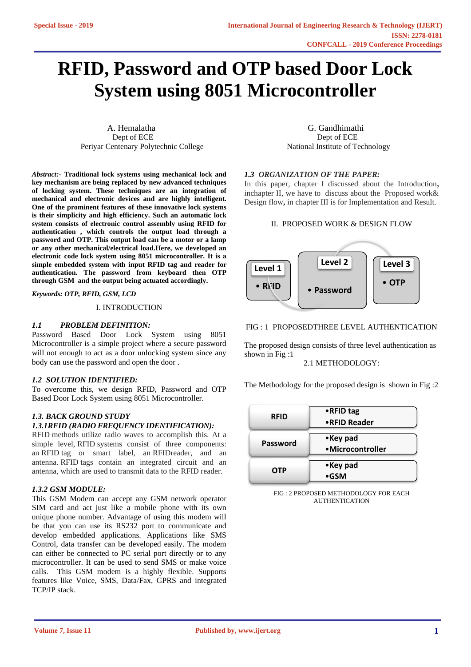# **RFID, Password and OTP based Door Lock System using 8051 Microcontroller**

A. Hemalatha G. Gandhimathi Dept of ECE Dept of ECE Periyar Centenary Polytechnic College National Institute of Technology

*Abstract:-* **Traditional lock systems using mechanical lock and key mechanism are being replaced by new advanced techniques of locking system. These techniques are an integration of mechanical and electronic devices and are highly intelligent. One of the prominent features of these innovative lock systems is their simplicity and high efficiency. Such an automatic lock system consists of electronic control assembly using RFID for authentication , which controls the output load through a password and OTP. This output load can be a motor or a lamp or any other mechanical/electrical load.Here, we developed an electronic code lock system using 8051 microcontroller. It is a simple embedded system with input RFID tag and reader for authentication. The password from keyboard then OTP through GSM and the output being actuated accordingly.**

*Keywords: OTP, RFID, GSM, LCD* 

I. INTRODUCTION

### *1.1 PROBLEM DEFINITION:*

Password Based Door Lock System using 8051 Microcontroller is a simple project where a secure password will not enough to act as a door unlocking system since any body can use the password and open the door .

#### *1.2 SOLUTION IDENTIFIED:*

To overcome this, we design RFID, Password and OTP Based Door Lock System using 8051 Microcontroller.

### *1.3. BACK GROUND STUDY 1.3.1RFID (RADIO FREQUENCY IDENTIFICATION):*

RFID methods utilize radio waves to accomplish this. At a simple level, RFID systems consist of three components: an RFID tag or smart label, an RFIDreader, and an antenna. RFID tags contain an integrated circuit and an antenna, which are used to transmit data to the RFID reader.

## *1.3.2 GSM MODULE:*

This GSM Modem can accept any GSM network operator SIM card and act just like a mobile phone with its own unique phone number. Advantage of using this modem will be that you can use its RS232 port to communicate and develop embedded applications. Applications like SMS Control, data transfer can be developed easily. The modem can either be connected to PC serial port directly or to any microcontroller. It can be used to send SMS or make voice calls. This GSM modem is a highly flexible. Supports features like Voice, SMS, Data/Fax, GPRS and integrated TCP/IP stack.

#### *1.3 ORGANIZATION OF THE PAPER:*

In this paper, chapter I discussed about the Introduction**,**  inchapter II, we have to discuss about the Proposed work& Design flow**,** in chapter III is for Implementation and Result.

#### II. PROPOSED WORK & DESIGN FLOW



#### FIG : 1 PROPOSEDTHREE LEVEL AUTHENTICATION

The proposed design consists of three level authentication as shown in Fig :1

# 2.1 METHODOLOGY:

The Methodology for the proposed design is shown in Fig :2

| <b>RFID</b> | $\bullet$ RFID tag<br>•RFID Reader |
|-------------|------------------------------------|
| Password    | •Key pad<br>•Microcontroller       |
| <b>OTP</b>  | •Key pad<br>$\bullet$ GSM          |

FIG : 2 PROPOSED METHODOLOGY FOR EACH AUTHENTICATION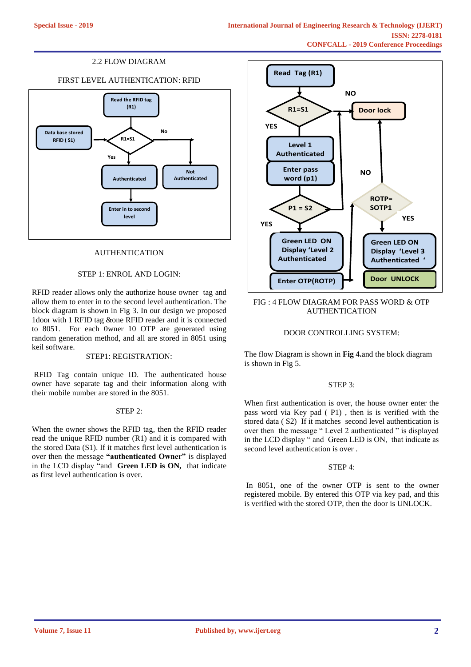# 2.2 FLOW DIAGRAM

# FIRST LEVEL AUTHENTICATION: RFID



## AUTHENTICATION

## STEP 1: ENROL AND LOGIN:

RFID reader allows only the authorize house owner tag and allow them to enter in to the second level authentication. The block diagram is shown in Fig 3. In our design we proposed 1door with 1 RFID tag &one RFID reader and it is connected to 8051. For each 0wner 10 OTP are generated using random generation method, and all are stored in 8051 using keil software.

#### STEP1: REGISTRATION:

RFID Tag contain unique ID. The authenticated house owner have separate tag and their information along with their mobile number are stored in the 8051.

#### STEP 2:

When the owner shows the RFID tag, then the RFID reader read the unique RFID number (R1) and it is compared with the stored Data (S1). If it matches first level authentication is over then the message **"authenticated Owner"** is displayed in the LCD display "and **Green LED is ON,** that indicate as first level authentication is over.



### FIG : 4 FLOW DIAGRAM FOR PASS WORD & OTP AUTHENTICATION

#### DOOR CONTROLLING SYSTEM:

The flow Diagram is shown in **Fig 4.**and the block diagram is shown in Fig 5.

#### STEP 3:

When first authentication is over, the house owner enter the pass word via Key pad ( P1) , then is is verified with the stored data ( S2) If it matches second level authentication is over then the message " Level 2 authenticated " is displayed in the LCD display " and Green LED is ON, that indicate as second level authentication is over .

#### STEP 4:

In 8051, one of the owner OTP is sent to the owner registered mobile. By entered this OTP via key pad, and this is verified with the stored OTP, then the door is UNLOCK.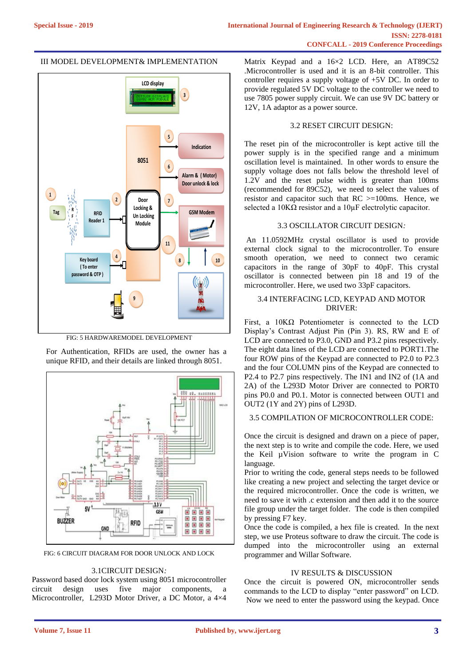# III MODEL DEVELOPMENT& IMPLEMENTATION



FIG: 5 HARDWAREMODEL DEVELOPMENT

For Authentication, RFIDs are used, the owner has a unique RFID, and their details are linked through 8051.



FIG: 6 CIRCUIT DIAGRAM FOR DOOR UNLOCK AND LOCK

# 3.1CIRCUIT DESIGN*:*

Password based door lock system using 8051 microcontroller circuit design uses five major components, a Microcontroller, L293D Motor Driver, a DC Motor, a 4×4

Matrix Keypad and a 16×2 LCD. Here, an AT89C52 .Microcontroller is used and it is an 8-bit controller. This controller requires a supply voltage of +5V DC. In order to provide regulated 5V DC voltage to the controller we need to use 7805 power supply circuit. We can use 9V DC battery or 12V, 1A adaptor as a power source.

# 3.2 RESET CIRCUIT DESIGN:

The reset pin of the microcontroller is kept active till the power supply is in the specified range and a minimum oscillation level is maintained. In other words to ensure the supply voltage does not falls below the threshold level of 1.2V and the reset pulse width is greater than 100ms (recommended for 89C52), we need to select the values of resistor and capacitor such that  $RC \geq 100$ ms. Hence, we selected a  $10K\Omega$  resistor and a  $10\mu$ F electrolytic capacitor.

## 3.3 OSCILLATOR CIRCUIT DESIGN*:*

An 11.0592MHz crystal oscillator is used to provide external clock signal to the microcontroller. To ensure smooth operation, we need to connect two ceramic capacitors in the range of 30pF to 40pF. This crystal oscillator is connected between pin 18 and 19 of the microcontroller. Here, we used two 33pF capacitors.

## 3.4 INTERFACING LCD, KEYPAD AND MOTOR DRIVER:

First, a 10KΩ Potentiometer is connected to the LCD Display's Contrast Adjust Pin (Pin 3). RS, RW and E of LCD are connected to P3.0, GND and P3.2 pins respectively. The eight data lines of the LCD are connected to PORT1.The four ROW pins of the Keypad are connected to P2.0 to P2.3 and the four COLUMN pins of the Keypad are connected to P2.4 to P2.7 pins respectively. The IN1 and IN2 of (1A and 2A) of the L293D Motor Driver are connected to PORT0 pins P0.0 and P0.1. Motor is connected between OUT1 and OUT2 (1Y and 2Y) pins of L293D.

## 3.5 COMPILATION OF MICROCONTROLLER CODE:

Once the circuit is designed and drawn on a piece of paper, the next step is to write and compile the code. Here, we used the Keil µVision software to write the program in C language.

Prior to writing the code, general steps needs to be followed like creating a new project and selecting the target device or the required microcontroller. Once the code is written, we need to save it with .c extension and then add it to the source file group under the target folder. The code is then compiled by pressing F7 key.

Once the code is compiled, a hex file is created. In the next step, we use Proteus software to draw the circuit. The code is dumped into the microcontroller using an external programmer and Willar Software.

# IV RESULTS & DISCUSSION

Once the circuit is powered ON, microcontroller sends commands to the LCD to display "enter password" on LCD. Now we need to enter the password using the keypad. Once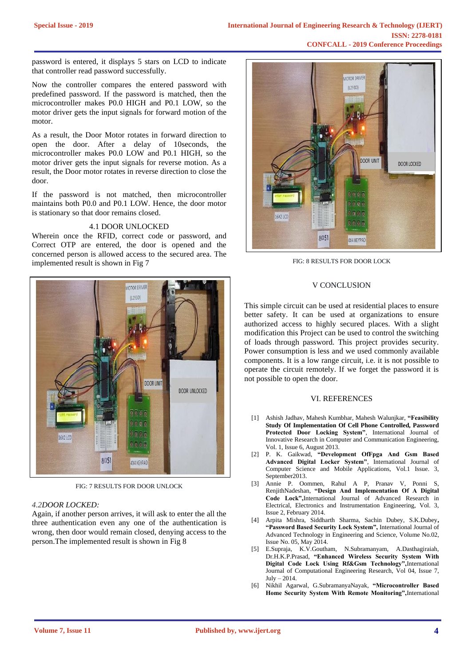password is entered, it displays 5 stars on LCD to indicate that controller read password successfully.

Now the controller compares the entered password with predefined password. If the password is matched, then the microcontroller makes P0.0 HIGH and P0.1 LOW, so the motor driver gets the input signals for forward motion of the motor.

As a result, the Door Motor rotates in forward direction to open the door. After a delay of 10seconds, the microcontroller makes P0.0 LOW and P0.1 HIGH, so the motor driver gets the input signals for reverse motion. As a result, the Door motor rotates in reverse direction to close the door.

If the password is not matched, then microcontroller maintains both P0.0 and P0.1 LOW. Hence, the door motor is stationary so that door remains closed.

#### 4.1 DOOR UNLOCKED

Wherein once the RFID, correct code or password, and Correct OTP are entered, the door is opened and the concerned person is allowed access to the secured area. The implemented result is shown in Fig 7



FIG: 7 RESULTS FOR DOOR UNLOCK

#### *4.2DOOR LOCKED:*

Again, if another person arrives, it will ask to enter the all the three authentication even any one of the authentication is wrong, then door would remain closed, denying access to the person.The implemented result is shown in Fig 8



FIG: 8 RESULTS FOR DOOR LOCK

### V CONCLUSION

This simple circuit can be used at residential places to ensure better safety. It can be used at organizations to ensure authorized access to highly secured places. With a slight modification this Project can be used to control the switching of loads through password. This project provides security. Power consumption is less and we used commonly available components. It is a low range circuit, i.e. it is not possible to operate the circuit remotely. If we forget the password it is not possible to open the door.

#### VI. REFERENCES

- [1] Ashish Jadhav, Mahesh Kumbhar, Mahesh Walunjkar, **"Feasibility Study Of Implementation Of Cell Phone Controlled, Password Protected Door Locking System"**, International Journal of Innovative Research in Computer and Communication Engineering, Vol. 1, Issue 6, August 2013.
- [2] P. K. Gaikwad, **"Development OfFpga And Gsm Based Advanced Digital Locker System"**, International Journal of Computer Science and Mobile Applications, Vol.1 Issue. 3, September2013.
- [3] Annie P. Oommen, Rahul A P, Pranav V, Ponni S, RenjithNadeshan, **"Design And Implementation Of A Digital Code Lock",**International Journal of Advanced Research in Electrical, Electronics and Instrumentation Engineering, Vol. 3, Issue 2, February 2014.
- [4] Arpita Mishra, Siddharth Sharma, Sachin Dubey, S.K.Dubey**, "Password Based Security Lock System",** International Journal of Advanced Technology in Engineering and Science, Volume No.02, Issue No. 05, May 2014.
- [5] E.Supraja, K.V.Goutham, N.Subramanyam, A.Dasthagiraiah, Dr.H.K.P.Prasad, **"Enhanced Wireless Security System With Digital Code Lock Using Rf&Gsm Technology",**International Journal of Computational Engineering Research, Vol 04, Issue 7, July – 2014.
- [6] Nikhil Agarwal, G.SubramanyaNayak, **"Microcontroller Based Home Security System With Remote Monitoring",**International